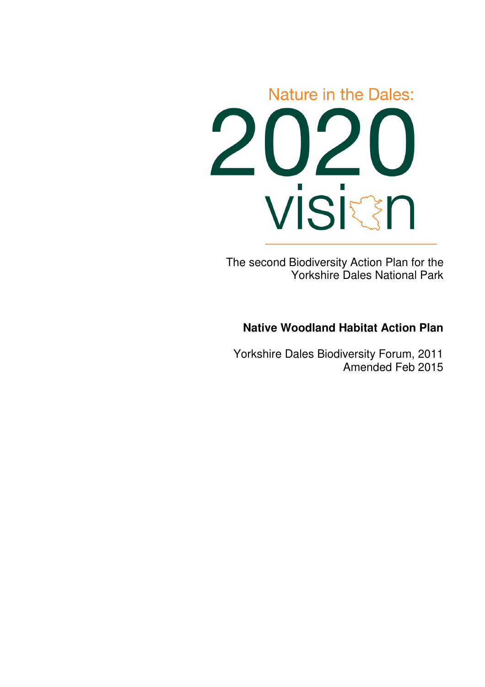

The second Biodiversity Action Plan for the Yorkshire Dales National Park

# **Native Woodland Habitat Action Plan**

Yorkshire Dales Biodiversity Forum, 2011 Amended Feb 2015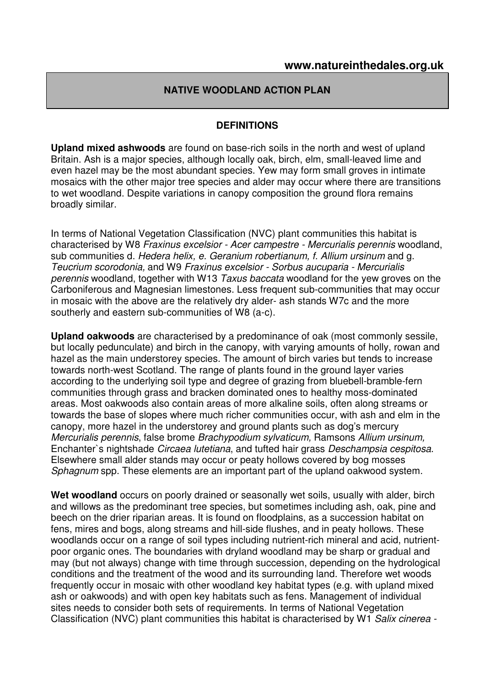### **NATIVE WOODLAND ACTION PLAN**

#### **DEFINITIONS**

**Upland mixed ashwoods** are found on base-rich soils in the north and west of upland Britain. Ash is a major species, although locally oak, birch, elm, small-leaved lime and even hazel may be the most abundant species. Yew may form small groves in intimate mosaics with the other major tree species and alder may occur where there are transitions to wet woodland. Despite variations in canopy composition the ground flora remains broadly similar.

In terms of National Vegetation Classification (NVC) plant communities this habitat is characterised by W8 Fraxinus excelsior - Acer campestre - Mercurialis perennis woodland, sub communities d. Hedera helix, e. Geranium robertianum, f. Allium ursinum and g. Teucrium scorodonia, and W9 Fraxinus excelsior - Sorbus aucuparia - Mercurialis perennis woodland, together with W13 Taxus baccata woodland for the yew groves on the Carboniferous and Magnesian limestones. Less frequent sub-communities that may occur in mosaic with the above are the relatively dry alder- ash stands W7c and the more southerly and eastern sub-communities of W8 (a-c).

**Upland oakwoods** are characterised by a predominance of oak (most commonly sessile, but locally pedunculate) and birch in the canopy, with varying amounts of holly, rowan and hazel as the main understorey species. The amount of birch varies but tends to increase towards north-west Scotland. The range of plants found in the ground layer varies according to the underlying soil type and degree of grazing from bluebell-bramble-fern communities through grass and bracken dominated ones to healthy moss-dominated areas. Most oakwoods also contain areas of more alkaline soils, often along streams or towards the base of slopes where much richer communities occur, with ash and elm in the canopy, more hazel in the understorey and ground plants such as dog's mercury Mercurialis perennis, false brome Brachypodium sylvaticum, Ramsons Allium ursinum, Enchanter`s nightshade Circaea lutetiana, and tufted hair grass Deschampsia cespitosa. Elsewhere small alder stands may occur or peaty hollows covered by bog mosses Sphagnum spp. These elements are an important part of the upland oakwood system.

Wet woodland occurs on poorly drained or seasonally wet soils, usually with alder, birch and willows as the predominant tree species, but sometimes including ash, oak, pine and beech on the drier riparian areas. It is found on floodplains, as a succession habitat on fens, mires and bogs, along streams and hill-side flushes, and in peaty hollows. These woodlands occur on a range of soil types including nutrient-rich mineral and acid, nutrientpoor organic ones. The boundaries with dryland woodland may be sharp or gradual and may (but not always) change with time through succession, depending on the hydrological conditions and the treatment of the wood and its surrounding land. Therefore wet woods frequently occur in mosaic with other woodland key habitat types (e.g. with upland mixed ash or oakwoods) and with open key habitats such as fens. Management of individual sites needs to consider both sets of requirements. In terms of National Vegetation Classification (NVC) plant communities this habitat is characterised by W1 Salix cinerea -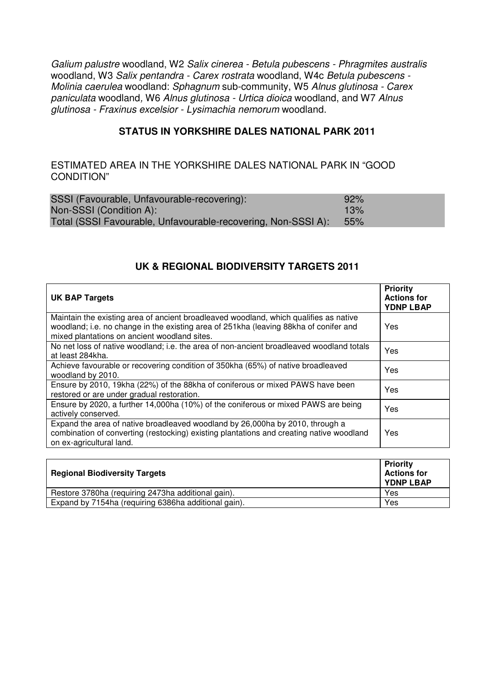Galium palustre woodland, W2 Salix cinerea - Betula pubescens - Phragmites australis woodland, W3 Salix pentandra - Carex rostrata woodland, W4c Betula pubescens -Molinia caerulea woodland: Sphagnum sub-community, W5 Alnus glutinosa - Carex paniculata woodland, W6 Alnus glutinosa - Urtica dioica woodland, and W7 Alnus glutinosa - Fraxinus excelsior - Lysimachia nemorum woodland.

#### **STATUS IN YORKSHIRE DALES NATIONAL PARK 2011**

#### ESTIMATED AREA IN THE YORKSHIRE DALES NATIONAL PARK IN "GOOD CONDITION"

| SSSI (Favourable, Unfavourable-recovering):                   | 92%  |
|---------------------------------------------------------------|------|
| Non-SSSI (Condition A):                                       | 13%  |
| Total (SSSI Favourable, Unfavourable-recovering, Non-SSSI A): | .55% |

#### **UK & REGIONAL BIODIVERSITY TARGETS 2011**

| <b>UK BAP Targets</b>                                                                                                                                                                                                          | <b>Priority</b><br><b>Actions for</b><br><b>YDNP LBAP</b> |
|--------------------------------------------------------------------------------------------------------------------------------------------------------------------------------------------------------------------------------|-----------------------------------------------------------|
| Maintain the existing area of ancient broadleaved woodland, which qualifies as native<br>woodland; i.e. no change in the existing area of 251kha (leaving 88kha of conifer and<br>mixed plantations on ancient woodland sites. | Yes                                                       |
| No net loss of native woodland; i.e. the area of non-ancient broadleaved woodland totals<br>at least 284kha.                                                                                                                   | Yes                                                       |
| Achieve favourable or recovering condition of 350kha (65%) of native broadleaved<br>woodland by 2010.                                                                                                                          | Yes                                                       |
| Ensure by 2010, 19kha (22%) of the 88kha of coniferous or mixed PAWS have been<br>restored or are under gradual restoration.                                                                                                   | Yes                                                       |
| Ensure by 2020, a further 14,000ha (10%) of the coniferous or mixed PAWS are being<br>actively conserved.                                                                                                                      | Yes                                                       |
| Expand the area of native broadleaved woodland by 26,000ha by 2010, through a<br>combination of converting (restocking) existing plantations and creating native woodland<br>on ex-agricultural land.                          | Yes                                                       |

| <b>Regional Biodiversity Targets</b>                 | <b>Priority</b><br><b>Actions for</b><br><b>YDNP LBAP</b> |
|------------------------------------------------------|-----------------------------------------------------------|
| Restore 3780ha (requiring 2473ha additional gain).   | Yes                                                       |
| Expand by 7154ha (requiring 6386ha additional gain). | Yes                                                       |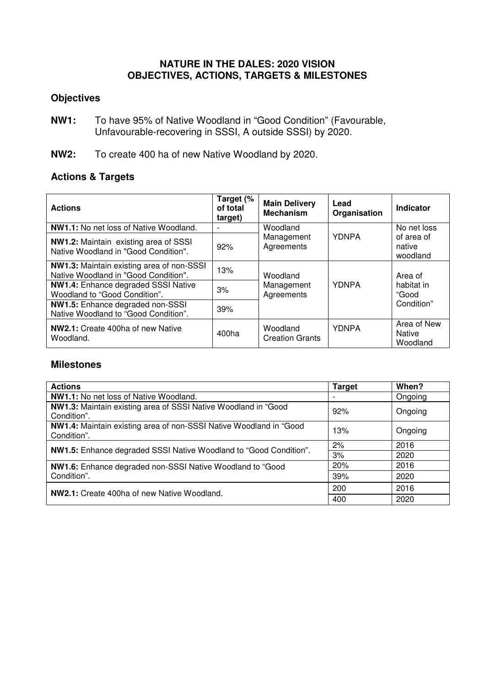### **NATURE IN THE DALES: 2020 VISION OBJECTIVES, ACTIONS, TARGETS & MILESTONES**

## **Objectives**

- **NW1:** To have 95% of Native Woodland in "Good Condition" (Favourable, Unfavourable-recovering in SSSI, A outside SSSI) by 2020.
- **NW2:** To create 400 ha of new Native Woodland by 2020.

# **Actions & Targets**

| <b>Actions</b>                                                                       | Target (%<br>of total<br>target) | <b>Main Delivery</b><br><b>Mechanism</b> | Lead<br>Organisation | <b>Indicator</b>                         |
|--------------------------------------------------------------------------------------|----------------------------------|------------------------------------------|----------------------|------------------------------------------|
| <b>NW1.1:</b> No net loss of Native Woodland.                                        |                                  | Woodland                                 |                      | No net loss                              |
| <b>NW1.2:</b> Maintain existing area of SSSI<br>Native Woodland in "Good Condition". | 92%                              | Management<br>Agreements                 | <b>YDNPA</b>         | of area of<br>native<br>woodland         |
| NW1.3: Maintain existing area of non-SSSI<br>Native Woodland in "Good Condition".    | 13%                              | Woodland                                 |                      | Area of                                  |
| <b>NW1.4:</b> Enhance degraded SSSI Native<br>Woodland to "Good Condition".          | 3%                               | Management<br>Agreements                 | <b>YDNPA</b>         | habitat in<br>"Good                      |
| NW1.5: Enhance degraded non-SSSI<br>Native Woodland to "Good Condition".             | 39%                              |                                          |                      | Condition"                               |
| NW2.1: Create 400ha of new Native<br>Woodland.                                       | 400ha                            | Woodland<br><b>Creation Grants</b>       | <b>YDNPA</b>         | Area of New<br><b>Native</b><br>Woodland |

#### **Milestones**

| <b>Actions</b>                                                                       | <b>Target</b> | When?   |
|--------------------------------------------------------------------------------------|---------------|---------|
| NW1.1: No net loss of Native Woodland.                                               |               | Ongoing |
| <b>NW1.3:</b> Maintain existing area of SSSI Native Woodland in "Good<br>Condition". | 92%           | Ongoing |
| NW1.4: Maintain existing area of non-SSSI Native Woodland in "Good<br>Condition".    | 13%           | Ongoing |
| NW1.5: Enhance degraded SSSI Native Woodland to "Good Condition".                    | 2%            | 2016    |
|                                                                                      | 3%            | 2020    |
| NW1.6: Enhance degraded non-SSSI Native Woodland to "Good                            | 20%           | 2016    |
| Condition".                                                                          | 39%           | 2020    |
| <b>NW2.1:</b> Create 400ha of new Native Woodland.                                   | 200           | 2016    |
|                                                                                      | 400           | 2020    |